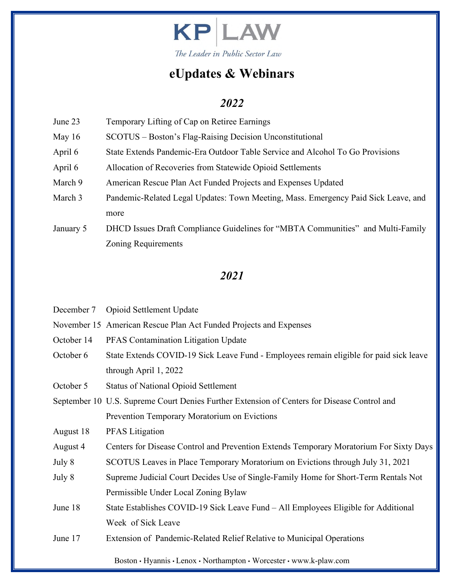

### *2022*

- June 23 Temporary Lifting of Cap on Retiree Earnings
- May 16 SCOTUS Boston's Flag-Raising Decision Unconstitutional
- April 6 State Extends Pandemic-Era Outdoor Table Service and Alcohol To Go Provisions
- April 6 Allocation of Recoveries from Statewide Opioid Settlements
- March 9 American Rescue Plan Act Funded Projects and Expenses Updated
- March 3 Pandemic-Related Legal Updates: Town Meeting, Mass. Emergency Paid Sick Leave, and more
- January 5 DHCD Issues Draft Compliance Guidelines for "MBTA Communities" and Multi-Family Zoning Requirements

| December 7 | Opioid Settlement Update                                                                    |  |  |  |  |  |
|------------|---------------------------------------------------------------------------------------------|--|--|--|--|--|
|            | November 15 American Rescue Plan Act Funded Projects and Expenses                           |  |  |  |  |  |
| October 14 | PFAS Contamination Litigation Update                                                        |  |  |  |  |  |
| October 6  | State Extends COVID-19 Sick Leave Fund - Employees remain eligible for paid sick leave      |  |  |  |  |  |
|            | through April 1, 2022                                                                       |  |  |  |  |  |
| October 5  | <b>Status of National Opioid Settlement</b>                                                 |  |  |  |  |  |
|            | September 10 U.S. Supreme Court Denies Further Extension of Centers for Disease Control and |  |  |  |  |  |
|            | Prevention Temporary Moratorium on Evictions                                                |  |  |  |  |  |
| August 18  | <b>PFAS</b> Litigation                                                                      |  |  |  |  |  |
| August 4   | Centers for Disease Control and Prevention Extends Temporary Moratorium For Sixty Days      |  |  |  |  |  |
| July 8     | SCOTUS Leaves in Place Temporary Moratorium on Evictions through July 31, 2021              |  |  |  |  |  |
| July 8     | Supreme Judicial Court Decides Use of Single-Family Home for Short-Term Rentals Not         |  |  |  |  |  |
|            | Permissible Under Local Zoning Bylaw                                                        |  |  |  |  |  |
| June 18    | State Establishes COVID-19 Sick Leave Fund – All Employees Eligible for Additional          |  |  |  |  |  |
|            | Week of Sick Leave                                                                          |  |  |  |  |  |
| June 17    | Extension of Pandemic-Related Relief Relative to Municipal Operations                       |  |  |  |  |  |
|            | Boston • Hyannis • Lenox • Northampton • Worcester • www.k-plaw.com                         |  |  |  |  |  |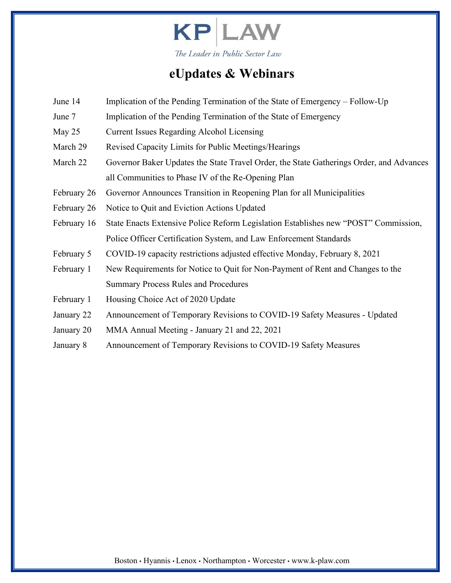

- June 14 Implication of the Pending Termination of the State of Emergency Follow-Up
- June 7 Implication of the Pending Termination of the State of Emergency
- May 25 Current Issues Regarding Alcohol Licensing
- March 29 Revised Capacity Limits for Public Meetings/Hearings
- March 22 Governor Baker Updates the State Travel Order, the State Gatherings Order, and Advances all Communities to Phase IV of the Re-Opening Plan
- February 26 Governor Announces Transition in Reopening Plan for all Municipalities
- February 26 Notice to Quit and Eviction Actions Updated
- February 16 State Enacts Extensive Police Reform Legislation Establishes new "POST" Commission, Police Officer Certification System, and Law Enforcement Standards
- February 5 COVID-19 capacity restrictions adjusted effective Monday, February 8, 2021
- February 1 New Requirements for Notice to Quit for Non-Payment of Rent and Changes to the Summary Process Rules and Procedures
- February 1 Housing Choice Act of 2020 Update
- January 22 Announcement of Temporary Revisions to COVID-19 Safety Measures Updated
- January 20 MMA Annual Meeting January 21 and 22, 2021
- January 8 Announcement of Temporary Revisions to COVID-19 Safety Measures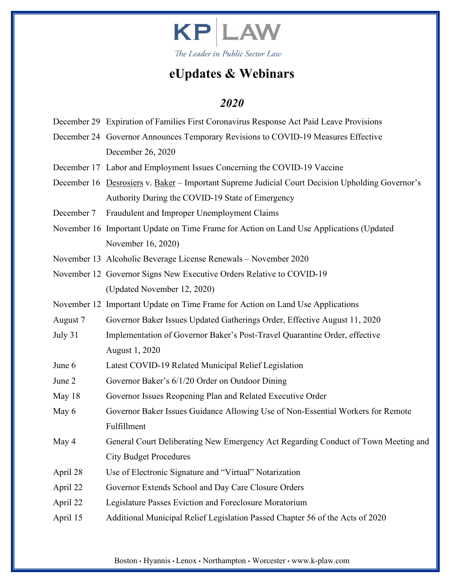

- December 29 Expiration of Families First Coronavirus Response Act Paid Leave Provisions
- December 24 Governor Announces Temporary Revisions to COVID-19 Measures Effective December 26, 2020
- December 17 Labor and Employment Issues Concerning the COVID-19 Vaccine
- December 16 Desrosiers v. Baker Important Supreme Judicial Court Decision Upholding Governor's Authority During the COVID-19 State of Emergency
- December 7 Fraudulent and Improper Unemployment Claims
- November 16 Important Update on Time Frame for Action on Land Use Applications (Updated November 16, 2020)
- November 13 Alcoholic Beverage License Renewals November 2020
- November 12 Governor Signs New Executive Orders Relative to COVID-19 (Updated November 12, 2020)
- November 12 Important Update on Time Frame for Action on Land Use Applications
- August 7 Governor Baker Issues Updated Gatherings Order, Effective August 11, 2020
- July 31 Implementation of Governor Baker's Post-Travel Quarantine Order, effective August 1, 2020
- June 6 Latest COVID-19 Related Municipal Relief Legislation
- June 2 Governor Baker's 6/1/20 Order on Outdoor Dining
- May 18 Governor Issues Reopening Plan and Related Executive Order
- May 6 Governor Baker Issues Guidance Allowing Use of Non-Essential Workers for Remote Fulfillment
- May 4 General Court Deliberating New Emergency Act Regarding Conduct of Town Meeting and City Budget Procedures
- April 28 Use of Electronic Signature and "Virtual" Notarization
- April 22 Governor Extends School and Day Care Closure Orders
- April 22 Legislature Passes Eviction and Foreclosure Moratorium
- April 15 Additional Municipal Relief Legislation Passed Chapter 56 of the Acts of 2020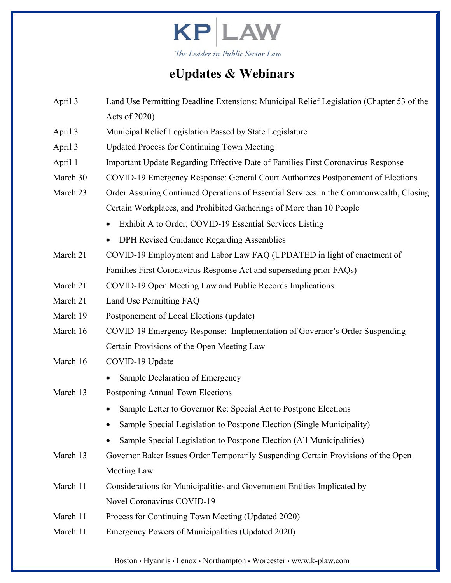

| April 3  | Land Use Permitting Deadline Extensions: Municipal Relief Legislation (Chapter 53 of the |  |  |  |  |  |
|----------|------------------------------------------------------------------------------------------|--|--|--|--|--|
|          | Acts of 2020)                                                                            |  |  |  |  |  |
| April 3  | Municipal Relief Legislation Passed by State Legislature                                 |  |  |  |  |  |
| April 3  | <b>Updated Process for Continuing Town Meeting</b>                                       |  |  |  |  |  |
| April 1  | Important Update Regarding Effective Date of Families First Coronavirus Response         |  |  |  |  |  |
| March 30 | COVID-19 Emergency Response: General Court Authorizes Postponement of Elections          |  |  |  |  |  |
| March 23 | Order Assuring Continued Operations of Essential Services in the Commonwealth, Closing   |  |  |  |  |  |
|          | Certain Workplaces, and Prohibited Gatherings of More than 10 People                     |  |  |  |  |  |
|          | Exhibit A to Order, COVID-19 Essential Services Listing<br>$\bullet$                     |  |  |  |  |  |
|          | DPH Revised Guidance Regarding Assemblies                                                |  |  |  |  |  |
| March 21 | COVID-19 Employment and Labor Law FAQ (UPDATED in light of enactment of                  |  |  |  |  |  |
|          | Families First Coronavirus Response Act and superseding prior FAQs)                      |  |  |  |  |  |
| March 21 | COVID-19 Open Meeting Law and Public Records Implications                                |  |  |  |  |  |
| March 21 | Land Use Permitting FAQ                                                                  |  |  |  |  |  |
| March 19 | Postponement of Local Elections (update)                                                 |  |  |  |  |  |
| March 16 | COVID-19 Emergency Response: Implementation of Governor's Order Suspending               |  |  |  |  |  |
|          | Certain Provisions of the Open Meeting Law                                               |  |  |  |  |  |
| March 16 | COVID-19 Update                                                                          |  |  |  |  |  |
|          | Sample Declaration of Emergency                                                          |  |  |  |  |  |
| March 13 | Postponing Annual Town Elections                                                         |  |  |  |  |  |
|          | Sample Letter to Governor Re: Special Act to Postpone Elections                          |  |  |  |  |  |
|          | Sample Special Legislation to Postpone Election (Single Municipality)                    |  |  |  |  |  |
|          | Sample Special Legislation to Postpone Election (All Municipalities)                     |  |  |  |  |  |
| March 13 | Governor Baker Issues Order Temporarily Suspending Certain Provisions of the Open        |  |  |  |  |  |
|          | Meeting Law                                                                              |  |  |  |  |  |
| March 11 | Considerations for Municipalities and Government Entities Implicated by                  |  |  |  |  |  |
|          | Novel Coronavirus COVID-19                                                               |  |  |  |  |  |
| March 11 | Process for Continuing Town Meeting (Updated 2020)                                       |  |  |  |  |  |
| March 11 | Emergency Powers of Municipalities (Updated 2020)                                        |  |  |  |  |  |
|          |                                                                                          |  |  |  |  |  |

Boston • Hyannis • Lenox • Northampton • Worcester • www.k-plaw.com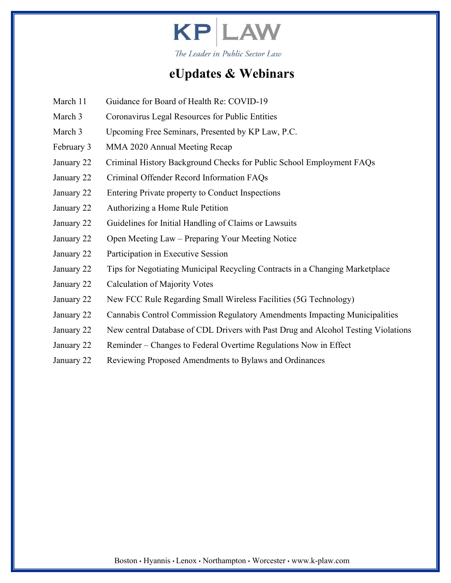

- March 11 Guidance for Board of Health Re: COVID-19
- March 3 Coronavirus Legal Resources for Public Entities
- March 3 Upcoming Free Seminars, Presented by KP Law, P.C.
- February 3 MMA 2020 Annual Meeting Recap
- January 22 Criminal History Background Checks for Public School Employment FAQs
- January 22 Criminal Offender Record Information FAQs
- January 22 Entering Private property to Conduct Inspections
- January 22 Authorizing a Home Rule Petition
- January 22 Guidelines for Initial Handling of Claims or Lawsuits
- January 22 Open Meeting Law Preparing Your Meeting Notice
- January 22 Participation in Executive Session
- January 22 Tips for Negotiating Municipal Recycling Contracts in a Changing Marketplace
- January 22 Calculation of Majority Votes
- January 22 New FCC Rule Regarding Small Wireless Facilities (5G Technology)
- January 22 Cannabis Control Commission Regulatory Amendments Impacting Municipalities
- January 22 New central Database of CDL Drivers with Past Drug and Alcohol Testing Violations
- January 22 Reminder Changes to Federal Overtime Regulations Now in Effect
- January 22 Reviewing Proposed Amendments to Bylaws and Ordinances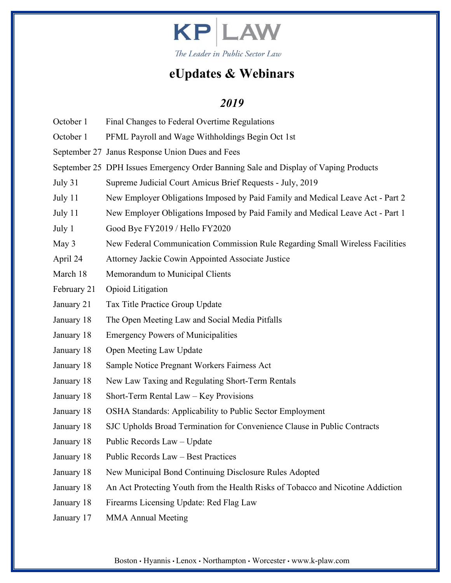

- October 1 Final Changes to Federal Overtime Regulations
- October 1 PFML Payroll and Wage Withholdings Begin Oct 1st
- September 27 Janus Response Union Dues and Fees
- September 25 DPH Issues Emergency Order Banning Sale and Display of Vaping Products
- July 31 Supreme Judicial Court Amicus Brief Requests July, 2019
- July 11 New Employer Obligations Imposed by Paid Family and Medical Leave Act Part 2
- July 11 New Employer Obligations Imposed by Paid Family and Medical Leave Act Part 1
- July 1 Good Bye FY2019 / Hello FY2020
- May 3 New Federal Communication Commission Rule Regarding Small Wireless Facilities
- April 24 Attorney Jackie Cowin Appointed Associate Justice
- March 18 Memorandum to Municipal Clients
- February 21 Opioid Litigation
- January 21 Tax Title Practice Group Update
- January 18 The Open Meeting Law and Social Media Pitfalls
- January 18 Emergency Powers of Municipalities
- January 18 Open Meeting Law Update
- January 18 Sample Notice Pregnant Workers Fairness Act
- January 18 New Law Taxing and Regulating Short-Term Rentals
- January 18 Short-Term Rental Law Key Provisions
- January 18 OSHA Standards: Applicability to Public Sector Employment
- January 18 SJC Upholds Broad Termination for Convenience Clause in Public Contracts
- January 18 Public Records Law Update
- January 18 Public Records Law Best Practices
- January 18 New Municipal Bond Continuing Disclosure Rules Adopted
- January 18 An Act Protecting Youth from the Health Risks of Tobacco and Nicotine Addiction
- January 18 Firearms Licensing Update: Red Flag Law
- January 17 MMA Annual Meeting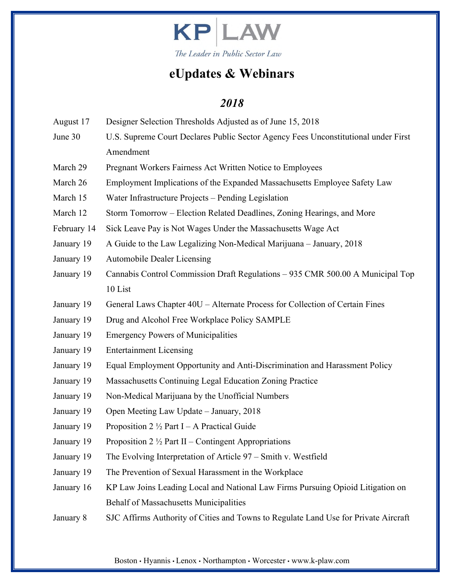

### *2018*

| August 17   | Designer Selection Thresholds Adjusted as of June 15, 2018                          |  |  |  |  |  |
|-------------|-------------------------------------------------------------------------------------|--|--|--|--|--|
| June 30     | U.S. Supreme Court Declares Public Sector Agency Fees Unconstitutional under First  |  |  |  |  |  |
|             | Amendment                                                                           |  |  |  |  |  |
| March 29    | Pregnant Workers Fairness Act Written Notice to Employees                           |  |  |  |  |  |
| March 26    | Employment Implications of the Expanded Massachusetts Employee Safety Law           |  |  |  |  |  |
| March 15    | Water Infrastructure Projects - Pending Legislation                                 |  |  |  |  |  |
| March 12    | Storm Tomorrow – Election Related Deadlines, Zoning Hearings, and More              |  |  |  |  |  |
| February 14 | Sick Leave Pay is Not Wages Under the Massachusetts Wage Act                        |  |  |  |  |  |
| January 19  | A Guide to the Law Legalizing Non-Medical Marijuana - January, 2018                 |  |  |  |  |  |
| January 19  | <b>Automobile Dealer Licensing</b>                                                  |  |  |  |  |  |
| January 19  | Cannabis Control Commission Draft Regulations - 935 CMR 500.00 A Municipal Top      |  |  |  |  |  |
|             | 10 List                                                                             |  |  |  |  |  |
| January 19  | General Laws Chapter 40U - Alternate Process for Collection of Certain Fines        |  |  |  |  |  |
| January 19  | Drug and Alcohol Free Workplace Policy SAMPLE                                       |  |  |  |  |  |
| January 19  | <b>Emergency Powers of Municipalities</b>                                           |  |  |  |  |  |
| January 19  | <b>Entertainment Licensing</b>                                                      |  |  |  |  |  |
| January 19  | Equal Employment Opportunity and Anti-Discrimination and Harassment Policy          |  |  |  |  |  |
| January 19  | Massachusetts Continuing Legal Education Zoning Practice                            |  |  |  |  |  |
| January 19  | Non-Medical Marijuana by the Unofficial Numbers                                     |  |  |  |  |  |
| January 19  | Open Meeting Law Update – January, 2018                                             |  |  |  |  |  |
| January 19  | Proposition 2 $\frac{1}{2}$ Part I – A Practical Guide                              |  |  |  |  |  |
| January 19  | Proposition 2 $\frac{1}{2}$ Part II – Contingent Appropriations                     |  |  |  |  |  |
| January 19  | The Evolving Interpretation of Article $97 - S$ mith v. Westfield                   |  |  |  |  |  |
| January 19  | The Prevention of Sexual Harassment in the Workplace                                |  |  |  |  |  |
| January 16  | KP Law Joins Leading Local and National Law Firms Pursuing Opioid Litigation on     |  |  |  |  |  |
|             | <b>Behalf of Massachusetts Municipalities</b>                                       |  |  |  |  |  |
| January 8   | SJC Affirms Authority of Cities and Towns to Regulate Land Use for Private Aircraft |  |  |  |  |  |

Boston • Hyannis • Lenox • Northampton • Worcester • www.k-plaw.com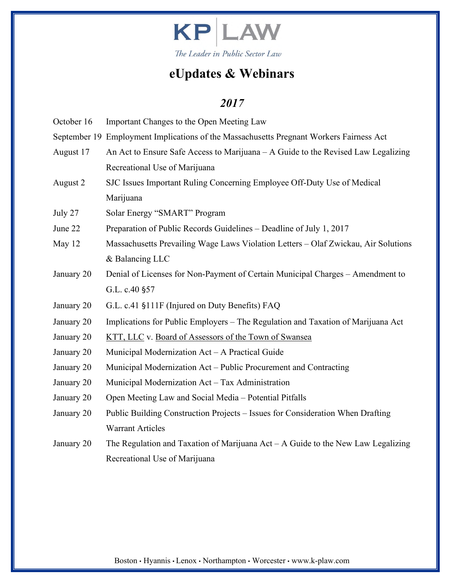

| October 16 | Important Changes to the Open Meeting Law                                               |  |  |  |  |  |
|------------|-----------------------------------------------------------------------------------------|--|--|--|--|--|
|            | September 19 Employment Implications of the Massachusetts Pregnant Workers Fairness Act |  |  |  |  |  |
| August 17  | An Act to Ensure Safe Access to Marijuana – A Guide to the Revised Law Legalizing       |  |  |  |  |  |
|            | Recreational Use of Marijuana                                                           |  |  |  |  |  |
| August 2   | SJC Issues Important Ruling Concerning Employee Off-Duty Use of Medical                 |  |  |  |  |  |
|            | Marijuana                                                                               |  |  |  |  |  |
| July 27    | Solar Energy "SMART" Program                                                            |  |  |  |  |  |
| June 22    | Preparation of Public Records Guidelines - Deadline of July 1, 2017                     |  |  |  |  |  |
| May 12     | Massachusetts Prevailing Wage Laws Violation Letters - Olaf Zwickau, Air Solutions      |  |  |  |  |  |
|            | & Balancing LLC                                                                         |  |  |  |  |  |
| January 20 | Denial of Licenses for Non-Payment of Certain Municipal Charges - Amendment to          |  |  |  |  |  |
|            | G.L. c.40 §57                                                                           |  |  |  |  |  |
| January 20 | G.L. c.41 §111F (Injured on Duty Benefits) FAQ                                          |  |  |  |  |  |
| January 20 | Implications for Public Employers – The Regulation and Taxation of Marijuana Act        |  |  |  |  |  |
| January 20 | KTT, LLC v. Board of Assessors of the Town of Swansea                                   |  |  |  |  |  |
| January 20 | Municipal Modernization Act – A Practical Guide                                         |  |  |  |  |  |
| January 20 | Municipal Modernization Act – Public Procurement and Contracting                        |  |  |  |  |  |
| January 20 | Municipal Modernization Act - Tax Administration                                        |  |  |  |  |  |
| January 20 | Open Meeting Law and Social Media - Potential Pitfalls                                  |  |  |  |  |  |
| January 20 | Public Building Construction Projects - Issues for Consideration When Drafting          |  |  |  |  |  |
|            | <b>Warrant Articles</b>                                                                 |  |  |  |  |  |
| January 20 | The Regulation and Taxation of Marijuana $Act - A$ Guide to the New Law Legalizing      |  |  |  |  |  |
|            | Recreational Use of Marijuana                                                           |  |  |  |  |  |
|            |                                                                                         |  |  |  |  |  |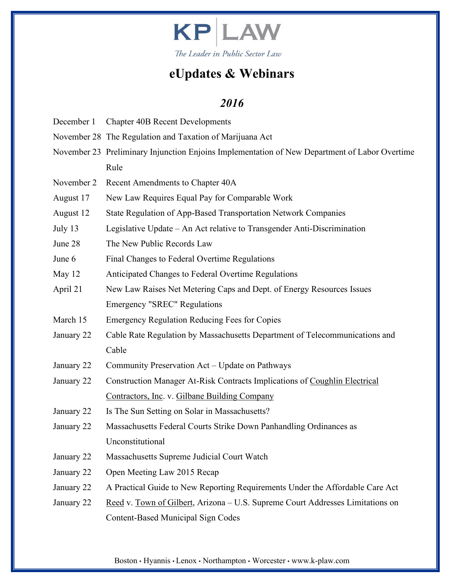

- December 1 Chapter 40B Recent Developments
- November 28 The Regulation and Taxation of Marijuana Act
- November 23 Preliminary Injunction Enjoins Implementation of New Department of Labor Overtime Rule
- November 2 Recent Amendments to Chapter 40A
- August 17 New Law Requires Equal Pay for Comparable Work
- August 12 State Regulation of App-Based Transportation Network Companies
- July 13 Legislative Update An Act relative to Transgender Anti-Discrimination
- June 28 The New Public Records Law
- June 6 Final Changes to Federal Overtime Regulations
- May 12 **Anticipated Changes to Federal Overtime Regulations**
- April 21 New Law Raises Net Metering Caps and Dept. of Energy Resources Issues Emergency "SREC" Regulations
- March 15 Emergency Regulation Reducing Fees for Copies
- January 22 Cable Rate Regulation by Massachusetts Department of Telecommunications and Cable
- January 22 Community Preservation Act Update on Pathways
- January 22 Construction Manager At-Risk Contracts Implications of Coughlin Electrical Contractors, Inc. v. Gilbane Building Company
- January 22 Is The Sun Setting on Solar in Massachusetts?
- January 22 Massachusetts Federal Courts Strike Down Panhandling Ordinances as Unconstitutional
- January 22 Massachusetts Supreme Judicial Court Watch
- January 22 Open Meeting Law 2015 Recap
- January 22 A Practical Guide to New Reporting Requirements Under the Affordable Care Act
- January 22 Reed v. Town of Gilbert, Arizona U.S. Supreme Court Addresses Limitations on Content-Based Municipal Sign Codes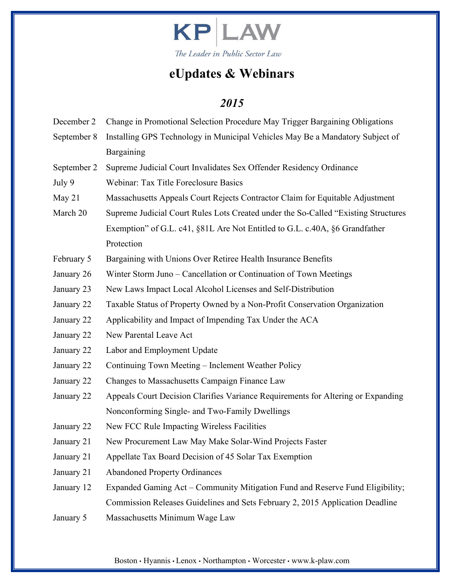

- December 2 Change in Promotional Selection Procedure May Trigger Bargaining Obligations September 8 Installing GPS Technology in Municipal Vehicles May Be a Mandatory Subject of Bargaining
- September 2 Supreme Judicial Court Invalidates Sex Offender Residency Ordinance
- July 9 Webinar: Tax Title Foreclosure Basics
- May 21 Massachusetts Appeals Court Rejects Contractor Claim for Equitable Adjustment
- March 20 Supreme Judicial Court Rules Lots Created under the So-Called "Existing Structures" Exemption" of G.L. c41, §81L Are Not Entitled to G.L. c.40A, §6 Grandfather Protection
- February 5 Bargaining with Unions Over Retiree Health Insurance Benefits
- January 26 Winter Storm Juno Cancellation or Continuation of Town Meetings
- January 23 New Laws Impact Local Alcohol Licenses and Self-Distribution
- January 22 Taxable Status of Property Owned by a Non-Profit Conservation Organization
- January 22 Applicability and Impact of Impending Tax Under the ACA
- January 22 New Parental Leave Act
- January 22 Labor and Employment Update
- January 22 Continuing Town Meeting Inclement Weather Policy
- January 22 Changes to Massachusetts Campaign Finance Law
- January 22 Appeals Court Decision Clarifies Variance Requirements for Altering or Expanding Nonconforming Single- and Two-Family Dwellings
- January 22 New FCC Rule Impacting Wireless Facilities
- January 21 New Procurement Law May Make Solar-Wind Projects Faster
- January 21 Appellate Tax Board Decision of 45 Solar Tax Exemption
- January 21 Abandoned Property Ordinances
- January 12 Expanded Gaming Act Community Mitigation Fund and Reserve Fund Eligibility; Commission Releases Guidelines and Sets February 2, 2015 Application Deadline
- January 5 Massachusetts Minimum Wage Law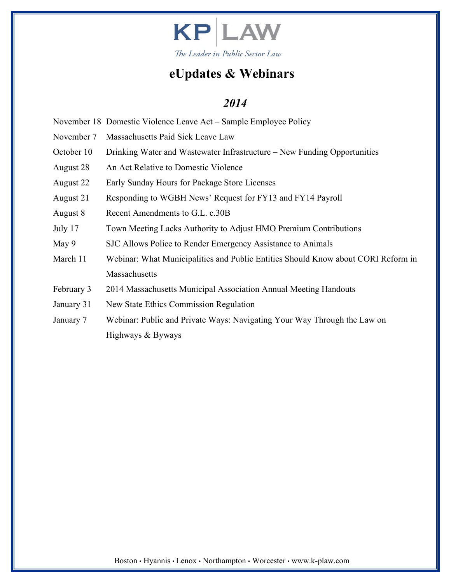

- November 18 Domestic Violence Leave Act Sample Employee Policy
- November 7 Massachusetts Paid Sick Leave Law
- October 10 Drinking Water and Wastewater Infrastructure New Funding Opportunities
- August 28 An Act Relative to Domestic Violence
- August 22 Early Sunday Hours for Package Store Licenses
- August 21 Responding to WGBH News' Request for FY13 and FY14 Payroll
- August 8 Recent Amendments to G.L. c.30B
- July 17 Town Meeting Lacks Authority to Adjust HMO Premium Contributions
- May 9 SJC Allows Police to Render Emergency Assistance to Animals
- March 11 Webinar: What Municipalities and Public Entities Should Know about CORI Reform in **Massachusetts**
- February 3 2014 Massachusetts Municipal Association Annual Meeting Handouts
- January 31 New State Ethics Commission Regulation
- January 7 Webinar: Public and Private Ways: Navigating Your Way Through the Law on Highways & Byways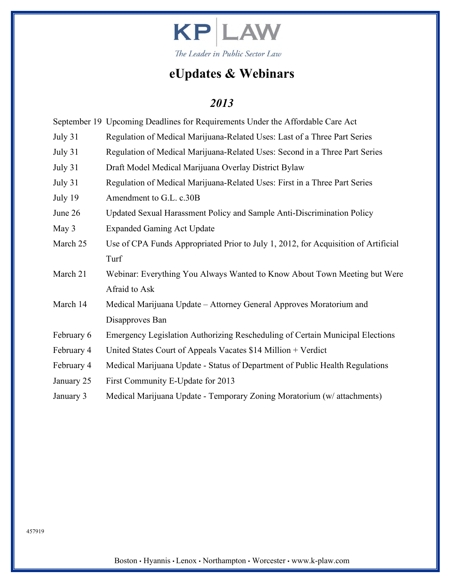

|  |  |  |  | September 19 Upcoming Deadlines for Requirements Under the Affordable Care Act |
|--|--|--|--|--------------------------------------------------------------------------------|
|--|--|--|--|--------------------------------------------------------------------------------|

- July 31 Regulation of Medical Marijuana-Related Uses: Last of a Three Part Series
- July 31 Regulation of Medical Marijuana-Related Uses: Second in a Three Part Series
- July 31 Draft Model Medical Marijuana Overlay District Bylaw
- July 31 Regulation of Medical Marijuana-Related Uses: First in a Three Part Series
- July 19 Amendment to G.L. c.30B
- June 26 Updated Sexual Harassment Policy and Sample Anti-Discrimination Policy
- May 3 Expanded Gaming Act Update
- March 25 Use of CPA Funds Appropriated Prior to July 1, 2012, for Acquisition of Artificial Turf
- March 21 Webinar: Everything You Always Wanted to Know About Town Meeting but Were Afraid to Ask
- March 14 Medical Marijuana Update Attorney General Approves Moratorium and Disapproves Ban
- February 6 Emergency Legislation Authorizing Rescheduling of Certain Municipal Elections
- February 4 United States Court of Appeals Vacates \$14 Million + Verdict
- February 4 Medical Marijuana Update Status of Department of Public Health Regulations
- January 25 First Community E-Update for 2013
- January 3 Medical Marijuana Update Temporary Zoning Moratorium (w/ attachments)